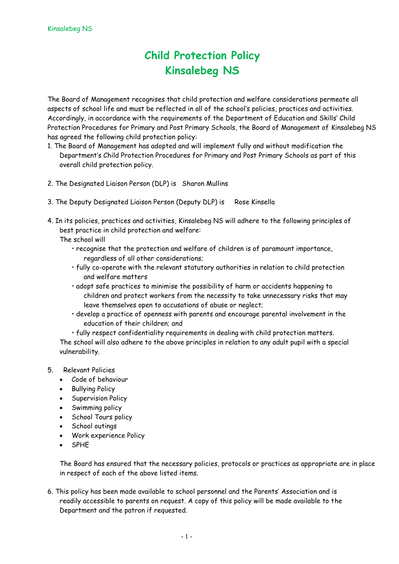## **Child Protection Policy Kinsalebeg NS**

The Board of Management recognises that child protection and welfare considerations permeate all aspects of school life and must be reflected in all of the school's policies, practices and activities. Accordingly, in accordance with the requirements of the Department of Education and Skills' Child Protection Procedures for Primary and Post Primary Schools, the Board of Management of Kinsalebeg NS has agreed the following child protection policy:

- 1. The Board of Management has adopted and will implement fully and without modification the Department's Child Protection Procedures for Primary and Post Primary Schools as part of this overall child protection policy.
- 2. The Designated Liaison Person (DLP) is Sharon Mullins
- 3. The Deputy Designated Liaison Person (Deputy DLP) is Rose Kinsella
- 4. In its policies, practices and activities, Kinsalebeg NS will adhere to the following principles of best practice in child protection and welfare:
	- The school will
		- recognise that the protection and welfare of children is of paramount importance, regardless of all other considerations;
		- fully co-operate with the relevant statutory authorities in relation to child protection and welfare matters
		- adopt safe practices to minimise the possibility of harm or accidents happening to children and protect workers from the necessity to take unnecessary risks that may leave themselves open to accusations of abuse or neglect;
		- develop a practice of openness with parents and encourage parental involvement in the education of their children; and

• fully respect confidentiality requirements in dealing with child protection matters. The school will also adhere to the above principles in relation to any adult pupil with a special vulnerability.

## 5. Relevant Policies

- Code of behaviour
- Bullying Policy
- **Supervision Policy**
- Swimming policy
- School Tours policy
- School outings
- Work experience Policy
- SPHE

The Board has ensured that the necessary policies, protocols or practices as appropriate are in place in respect of each of the above listed items.

6. This policy has been made available to school personnel and the Parents' Association and is readily accessible to parents on request. A copy of this policy will be made available to the Department and the patron if requested.